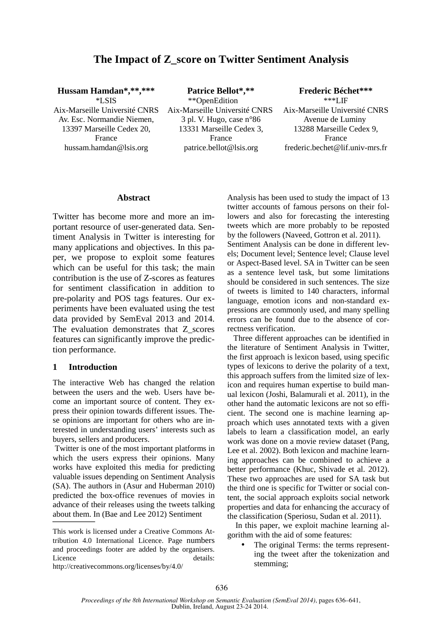# **The Impact of Z\_score on Twitter Sentiment Analysis**

**Hussam Hamdan\*,\*\*,\*\*\*** 

\*LSIS Aix-Marseille Université CNRS Av. Esc. Normandie Niemen, 13397 Marseille Cedex 20, France hussam.hamdan@lsis.org

**Patrice Bellot\*,\*\***  \*\*OpenEdition Aix-Marseille Université CNRS 3 pl. V. Hugo, case n°86 13331 Marseille Cedex 3, France patrice.bellot@lsis.org

**Frederic Béchet\*\*\*** \*\*\*LIF Aix-Marseille Université CNRS Avenue de Luminy 13288 Marseille Cedex 9, France frederic.bechet@lif.univ-mrs.fr

#### **Abstract**

Twitter has become more and more an important resource of user-generated data. Sentiment Analysis in Twitter is interesting for many applications and objectives. In this paper, we propose to exploit some features which can be useful for this task; the main contribution is the use of Z-scores as features for sentiment classification in addition to pre-polarity and POS tags features. Our experiments have been evaluated using the test data provided by SemEval 2013 and 2014. The evaluation demonstrates that Z scores features can significantly improve the prediction performance.

## **1 Introduction**

The interactive Web has changed the relation between the users and the web. Users have become an important source of content. They express their opinion towards different issues. These opinions are important for others who are interested in understanding users' interests such as buyers, sellers and producers.

 Twitter is one of the most important platforms in which the users express their opinions. Many works have exploited this media for predicting valuable issues depending on Sentiment Analysis (SA). The authors in (Asur and Huberman 2010) predicted the box-office revenues of movies in advance of their releases using the tweets talking about them. In (Bae and Lee 2012) Sentiment

http://creativecommons.org/licenses/by/4.0/

Analysis has been used to study the impact of 13 twitter accounts of famous persons on their followers and also for forecasting the interesting tweets which are more probably to be reposted by the followers (Naveed, Gottron et al. 2011). Sentiment Analysis can be done in different levels; Document level; Sentence level; Clause level or Aspect-Based level. SA in Twitter can be seen as a sentence level task, but some limitations should be considered in such sentences. The size of tweets is limited to 140 characters, informal language, emotion icons and non-standard expressions are commonly used, and many spelling errors can be found due to the absence of correctness verification.

 Three different approaches can be identified in the literature of Sentiment Analysis in Twitter, the first approach is lexicon based, using specific types of lexicons to derive the polarity of a text, this approach suffers from the limited size of lexicon and requires human expertise to build manual lexicon (Joshi, Balamurali et al. 2011), in the other hand the automatic lexicons are not so efficient. The second one is machine learning approach which uses annotated texts with a given labels to learn a classification model, an early work was done on a movie review dataset (Pang, Lee et al. 2002). Both lexicon and machine learning approaches can be combined to achieve a better performance (Khuc, Shivade et al. 2012). These two approaches are used for SA task but the third one is specific for Twitter or social content, the social approach exploits social network properties and data for enhancing the accuracy of the classification (Speriosu, Sudan et al. 2011).

 In this paper, we exploit machine learning algorithm with the aid of some features:

The original Terms: the terms representing the tweet after the tokenization and stemming;

This work is licensed under a Creative Commons Attribution 4.0 International Licence. Page numbers and proceedings footer are added by the organisers. Licence details: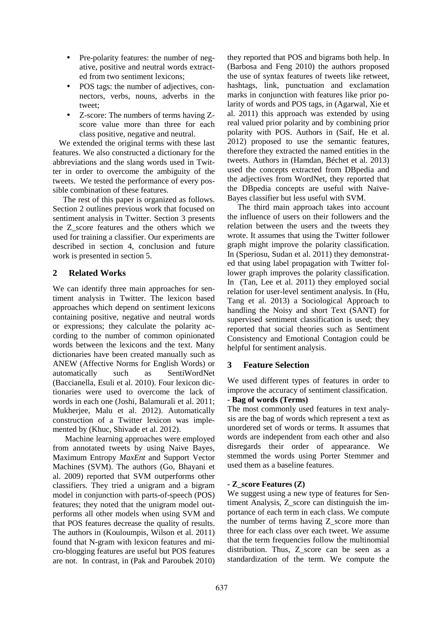- Pre-polarity features: the number of negative, positive and neutral words extracted from two sentiment lexicons;
- POS tags: the number of adjectives, connectors, verbs, nouns, adverbs in the tweet;
- Z-score: The numbers of terms having Zscore value more than three for each class positive, negative and neutral.

 We extended the original terms with these last features. We also constructed a dictionary for the abbreviations and the slang words used in Twitter in order to overcome the ambiguity of the tweets. We tested the performance of every possible combination of these features.

 The rest of this paper is organized as follows. Section 2 outlines previous work that focused on sentiment analysis in Twitter. Section 3 presents the Z\_score features and the others which we used for training a classifier. Our experiments are described in section 4, conclusion and future work is presented in section 5.

# **2 Related Works**

We can identify three main approaches for sentiment analysis in Twitter. The lexicon based approaches which depend on sentiment lexicons containing positive, negative and neutral words or expressions; they calculate the polarity according to the number of common opinionated words between the lexicons and the text. Many dictionaries have been created manually such as ANEW (Affective Norms for English Words) or automatically such as SentiWordNet (Baccianella, Esuli et al. 2010). Four lexicon dictionaries were used to overcome the lack of words in each one (Joshi, Balamurali et al. 2011; Mukherjee, Malu et al. 2012). Automatically construction of a Twitter lexicon was implemented by (Khuc, Shivade et al. 2012).

 Machine learning approaches were employed from annotated tweets by using Naive Bayes, Maximum Entropy *MaxEnt* and Support Vector Machines (SVM). The authors (Go, Bhayani et al. 2009) reported that SVM outperforms other classifiers. They tried a unigram and a bigram model in conjunction with parts-of-speech (POS) features; they noted that the unigram model outperforms all other models when using SVM and that POS features decrease the quality of results. The authors in (Kouloumpis, Wilson et al. 2011) found that N-gram with lexicon features and micro-blogging features are useful but POS features are not. In contrast, in (Pak and Paroubek 2010) they reported that POS and bigrams both help. In (Barbosa and Feng 2010) the authors proposed the use of syntax features of tweets like retweet, hashtags, link, punctuation and exclamation marks in conjunction with features like prior polarity of words and POS tags, in (Agarwal, Xie et al. 2011) this approach was extended by using real valued prior polarity and by combining prior polarity with POS. Authors in (Saif, He et al. 2012) proposed to use the semantic features, therefore they extracted the named entities in the tweets. Authors in (Hamdan, Béchet et al. 2013) used the concepts extracted from DBpedia and the adjectives from WordNet, they reported that the DBpedia concepts are useful with Naïve-Bayes classifier but less useful with SVM.

 The third main approach takes into account the influence of users on their followers and the relation between the users and the tweets they wrote. It assumes that using the Twitter follower graph might improve the polarity classification. In (Speriosu, Sudan et al. 2011) they demonstrated that using label propagation with Twitter follower graph improves the polarity classification. In (Tan, Lee et al. 2011) they employed social relation for user-level sentiment analysis. In (Hu, Tang et al. 2013) a Sociological Approach to handling the Noisy and short Text (SANT) for supervised sentiment classification is used; they reported that social theories such as Sentiment Consistency and Emotional Contagion could be helpful for sentiment analysis.

# **3 Feature Selection**

We used different types of features in order to improve the accuracy of sentiment classification. **- Bag of words (Terms)** 

The most commonly used features in text analysis are the bag of words which represent a text as unordered set of words or terms. It assumes that words are independent from each other and also disregards their order of appearance. We stemmed the words using Porter Stemmer and used them as a baseline features.

# **- Z\_score Features (Z)**

We suggest using a new type of features for Sentiment Analysis, Z\_score can distinguish the importance of each term in each class. We compute the number of terms having Z\_score more than three for each class over each tweet. We assume that the term frequencies follow the multinomial distribution. Thus, Z\_score can be seen as a standardization of the term. We compute the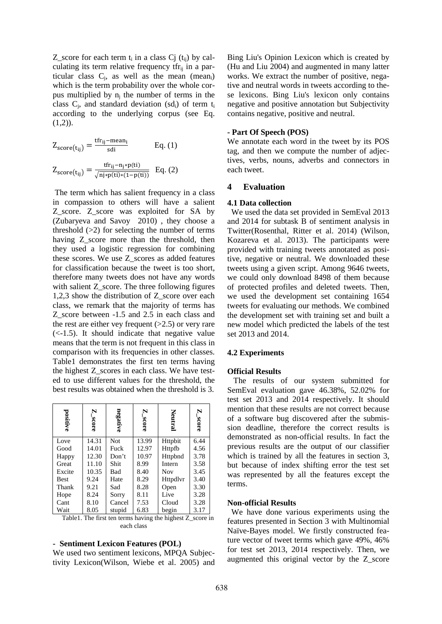Z\_score for each term  $t_i$  in a class Cj  $(t_{ij})$  by calculating its term relative frequency  $tf_{i}$  in a particular class  $C_j$ , as well as the mean (mean<sub>i</sub>) which is the term probability over the whole corpus multiplied by  $n_j$  the number of terms in the class  $C_j$ , and standard deviation (sd<sub>i</sub>) of term  $t_i$ according to the underlying corpus (see Eq.  $(1,2)$ ).

$$
Z_{score(t_{ij})} = \frac{tfr_{ij} - mean_i}{sdi}
$$
 Eq. (1)  

$$
Z_{score(t_{ij})} = \frac{tfr_{ij} - n_j * p(ti)}{\sqrt{n_j * p(tj) * (1 - p(ti))}}
$$
 Eq. (2)

 The term which has salient frequency in a class in compassion to others will have a salient Z\_score. Z\_score was exploited for SA by (Zubaryeva and Savoy 2010) , they choose a threshold  $(>2)$  for selecting the number of terms having Z score more than the threshold, then they used a logistic regression for combining these scores. We use Z\_scores as added features for classification because the tweet is too short, therefore many tweets does not have any words with salient Z\_score. The three following figures 1,2,3 show the distribution of Z score over each class, we remark that the majority of terms has Z\_score between -1.5 and 2.5 in each class and the rest are either vey frequent  $(>2.5)$  or very rare  $(<-1.5$ ). It should indicate that negative valuemeans that the term is not frequent in this class in comparison with its frequencies in other classes. Table1 demonstrates the first ten terms having the highest Z\_scores in each class. We have tested to use different values for the threshold, the best results was obtained when the threshold is 3.

| positive                                                   | N<br><b>Score</b> | negative   | N<br>$300\,\mathrm{kg}$ | Neutral    | N<br>$-$ score |  |
|------------------------------------------------------------|-------------------|------------|-------------------------|------------|----------------|--|
| Love                                                       | 14.31             | Not        | 13.99                   | Httpbit    | 6.44           |  |
| Good                                                       | 14.01             | Fuck       | 12.97                   | Httpfb     | 4.56           |  |
| Happy                                                      | 12.30             | Don't      | 10.97                   | Httpbnd    | 3.78           |  |
| Great                                                      | 11.10             | Shit       | 8.99                    | Intern     | 3.58           |  |
| Excite                                                     | 10.35             | <b>Bad</b> | 8.40                    | <b>Nov</b> | 3.45           |  |
| <b>Best</b>                                                | 9.24              | Hate       | 8.29                    | Httpdlvr   | 3.40           |  |
| Thank                                                      | 9.21              | Sad        | 8.28                    | Open       | 3.30           |  |
| Hope                                                       | 8.24              | Sorry      | 8.11                    | Live       | 3.28           |  |
| Cant                                                       | 8.10              | Cancel     | 7.53                    | Cloud      | 3.28           |  |
| Wait                                                       | 8.05              | stupid     | 6.83                    | begin      | 3.17           |  |
| Table 1. The first ten terms having the highest Z score in |                   |            |                         |            |                |  |

#### **- Sentiment Lexicon Features (POL)**

We used two sentiment lexicons, MPQA Subjectivity Lexicon(Wilson, Wiebe et al. 2005) and

each class

Bing Liu's Opinion Lexicon which is created by (Hu and Liu 2004) and augmented in many latter works. We extract the number of positive, negative and neutral words in tweets according to these lexicons. Bing Liu's lexicon only contains negative and positive annotation but Subjectivity contains negative, positive and neutral.

#### **- Part Of Speech (POS)**

We annotate each word in the tweet by its POS tag, and then we compute the number of adjectives, verbs, nouns, adverbs and connectors in each tweet.

### **4 Evaluation**

#### **4.1 Data collection**

 We used the data set provided in SemEval 2013 and 2014 for subtask B of sentiment analysis in Twitter(Rosenthal, Ritter et al. 2014) (Wilson, Kozareva et al. 2013). The participants were provided with training tweets annotated as positive, negative or neutral. We downloaded these tweets using a given script. Among 9646 tweets, we could only download 8498 of them because of protected profiles and deleted tweets. Then, we used the development set containing 1654 tweets for evaluating our methods. We combined the development set with training set and built a new model which predicted the labels of the test set 2013 and 2014.

#### **4.2 Experiments**

#### **Official Results**

 The results of our system submitted for SemEval evaluation gave 46.38%, 52.02% for test set 2013 and 2014 respectively. It should mention that these results are not correct because of a software bug discovered after the submission deadline, therefore the correct results is demonstrated as non-official results. In fact the previous results are the output of our classifier which is trained by all the features in section 3, but because of index shifting error the test set was represented by all the features except the terms.

#### **Non-official Results**

 We have done various experiments using the features presented in Section 3 with Multinomial Naïve-Bayes model. We firstly constructed feature vector of tweet terms which gave 49%, 46% for test set 2013, 2014 respectively. Then, we augmented this original vector by the Z\_score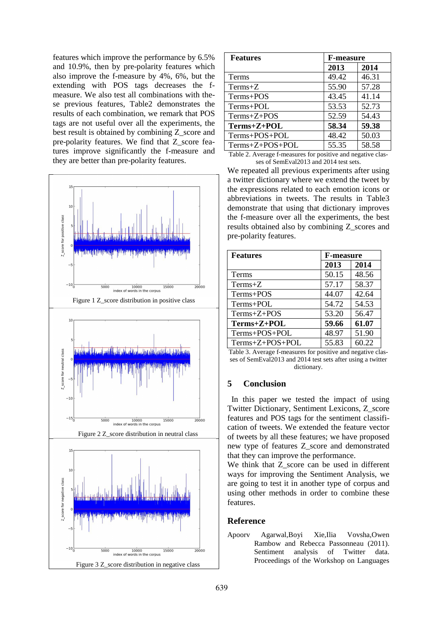features which improve the performance by 6.5% and 10.9%, then by pre-polarity features which also improve the f-measure by 4%, 6%, but the extending with POS tags decreases the fmeasure. We also test all combinations with these previous features, Table2 demonstrates the results of each combination, we remark that POS tags are not useful over all the experiments, the best result is obtained by combining Z\_score and pre-polarity features. We find that Z\_score features improve significantly the f-measure and they are better than pre-polarity features.



| <b>Features</b>                                                                                                                                                                                                                                                                                                                                                                                                                                                                                 | <b>F-measure</b> |       |  |
|-------------------------------------------------------------------------------------------------------------------------------------------------------------------------------------------------------------------------------------------------------------------------------------------------------------------------------------------------------------------------------------------------------------------------------------------------------------------------------------------------|------------------|-------|--|
|                                                                                                                                                                                                                                                                                                                                                                                                                                                                                                 | 2013             | 2014  |  |
| Terms                                                                                                                                                                                                                                                                                                                                                                                                                                                                                           | 49.42            | 46.31 |  |
| $Terms+Z$                                                                                                                                                                                                                                                                                                                                                                                                                                                                                       | 55.90            | 57.28 |  |
| Terms+POS                                                                                                                                                                                                                                                                                                                                                                                                                                                                                       | 43.45            | 41.14 |  |
| Terms+POL                                                                                                                                                                                                                                                                                                                                                                                                                                                                                       | 53.53            | 52.73 |  |
| $Terms+Z+POS$                                                                                                                                                                                                                                                                                                                                                                                                                                                                                   | 52.59            | 54.43 |  |
| $Terms+Z+POL$                                                                                                                                                                                                                                                                                                                                                                                                                                                                                   | 58.34            | 59.38 |  |
| Terms+POS+POL                                                                                                                                                                                                                                                                                                                                                                                                                                                                                   | 48.42            | 50.03 |  |
| Terms+Z+POS+POL                                                                                                                                                                                                                                                                                                                                                                                                                                                                                 | 55.35            | 58.58 |  |
| c<br>$\blacksquare$ $\blacksquare$ $\blacksquare$ $\blacksquare$ $\blacksquare$ $\blacksquare$ $\blacksquare$ $\blacksquare$ $\blacksquare$ $\blacksquare$ $\blacksquare$ $\blacksquare$ $\blacksquare$ $\blacksquare$ $\blacksquare$ $\blacksquare$ $\blacksquare$ $\blacksquare$ $\blacksquare$ $\blacksquare$ $\blacksquare$ $\blacksquare$ $\blacksquare$ $\blacksquare$ $\blacksquare$ $\blacksquare$ $\blacksquare$ $\blacksquare$ $\blacksquare$ $\blacksquare$ $\blacksquare$ $\blacks$ | п.               |       |  |

Table 2. Average f-measures for positive and negative classes of SemEval2013 and 2014 test sets.

We repeated all previous experiments after using a twitter dictionary where we extend the tweet by the expressions related to each emotion icons or abbreviations in tweets. The results in Table3 demonstrate that using that dictionary improves the f-measure over all the experiments, the best results obtained also by combining Z\_scores and pre-polarity features.

| <b>Features</b> | <b>F-measure</b> |       |  |
|-----------------|------------------|-------|--|
|                 | 2013             | 2014  |  |
| <b>Terms</b>    | 50.15            | 48.56 |  |
| $Terms+Z$       | 57.17            | 58.37 |  |
| Terms+POS       | 44.07            | 42.64 |  |
| Terms+POL       | 54.72            | 54.53 |  |
| $Terms+Z+POS$   | 53.20            | 56.47 |  |
| Terms+Z+POL     | 59.66            | 61.07 |  |
| Terms+POS+POL   | 48.97            | 51.90 |  |
| Terms+Z+POS+POL | 55.83            | 60.22 |  |

Table 3. Average f-measures for positive and negative classes of SemEval2013 and 2014 test sets after using a twitter dictionary.

# **5 Conclusion**

 In this paper we tested the impact of using Twitter Dictionary, Sentiment Lexicons, Z\_score features and POS tags for the sentiment classification of tweets. We extended the feature vector of tweets by all these features; we have proposed new type of features Z\_score and demonstrated that they can improve the performance.

We think that Z\_score can be used in different ways for improving the Sentiment Analysis, we are going to test it in another type of corpus and using other methods in order to combine these features.

### **Reference**

Apoorv Agarwal,Boyi Xie,Ilia Vovsha,Owen Rambow and Rebecca Passonneau (2011). Sentiment analysis of Twitter data. Proceedings of the Workshop on Languages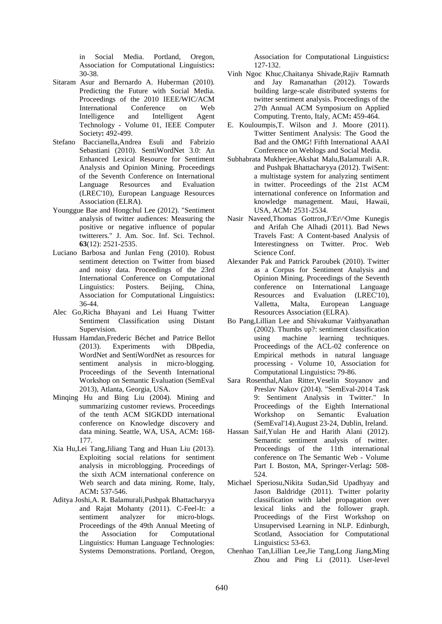in Social Media. Portland, Oregon, Association for Computational Linguistics**:**  30-38.

- Sitaram Asur and Bernardo A. Huberman (2010). Predicting the Future with Social Media. Proceedings of the 2010 IEEE/WIC/ACM International Conference on Web Intelligence and Intelligent Agent Technology - Volume 01, IEEE Computer Society**:** 492-499.
- Stefano Baccianella,Andrea Esuli and Fabrizio Sebastiani (2010). SentiWordNet 3.0: An Enhanced Lexical Resource for Sentiment Analysis and Opinion Mining. Proceedings of the Seventh Conference on International Language Resources and Evaluation (LREC'10), European Language Resources Association (ELRA).
- Younggue Bae and Hongchul Lee (2012). "Sentiment analysis of twitter audiences: Measuring the positive or negative influence of popular twitterers." J. Am. Soc. Inf. Sci. Technol. **63**(12): 2521-2535.
- Luciano Barbosa and Junlan Feng (2010). Robust sentiment detection on Twitter from biased and noisy data. Proceedings of the 23rd International Conference on Computational Linguistics: Posters. Beijing, China, Association for Computational Linguistics**:**  36-44.
- Alec Go,Richa Bhayani and Lei Huang Twitter Sentiment Classification using Distant Supervision.
- Hussam Hamdan,Frederic Béchet and Patrice Bellot (2013). Experiments with DBpedia, WordNet and SentiWordNet as resources for sentiment analysis in micro-blogging. Proceedings of the Seventh International Workshop on Semantic Evaluation (SemEval 2013), Atlanta, Georgia, USA.
- Minqing Hu and Bing Liu (2004). Mining and summarizing customer reviews. Proceedings of the tenth ACM SIGKDD international conference on Knowledge discovery and data mining. Seattle, WA, USA, ACM**:** 168- 177.
- Xia Hu,Lei Tang,Jiliang Tang and Huan Liu (2013). Exploiting social relations for sentiment analysis in microblogging. Proceedings of the sixth ACM international conference on Web search and data mining. Rome, Italy, ACM**:** 537-546.
- Aditya Joshi,A. R. Balamurali,Pushpak Bhattacharyya and Rajat Mohanty (2011). C-Feel-It: a sentiment analyzer for micro-blogs. Proceedings of the 49th Annual Meeting of the Association for Computational Linguistics: Human Language Technologies: Systems Demonstrations. Portland, Oregon,

Association for Computational Linguistics**:**  127-132.

- Vinh Ngoc Khuc,Chaitanya Shivade,Rajiv Ramnath and Jay Ramanathan (2012). Towards building large-scale distributed systems for twitter sentiment analysis. Proceedings of the 27th Annual ACM Symposium on Applied Computing. Trento, Italy, ACM**:** 459-464.
- E. Kouloumpis,T. Wilson and J. Moore (2011). Twitter Sentiment Analysis: The Good the Bad and the OMG! Fifth International AAAI Conference on Weblogs and Social Media.
- Subhabrata Mukherjee,Akshat Malu,Balamurali A.R. and Pushpak Bhattacharyya (2012). TwiSent: a multistage system for analyzing sentiment in twitter. Proceedings of the 21st ACM international conference on Information and knowledge management. Maui, Hawaii, USA, ACM**:** 2531-2534.
- Nasir Naveed,Thomas Gottron,J\'Er\^Ome Kunegis and Arifah Che Alhadi (2011). Bad News Travels Fast: A Content-based Analysis of Interestingness on Twitter. Proc. Web Science Conf.
- Alexander Pak and Patrick Paroubek (2010). Twitter as a Corpus for Sentiment Analysis and Opinion Mining. Proceedings of the Seventh conference on International Language Resources and Evaluation (LREC'10),<br>Valletta, Malta, European Language Language Resources Association (ELRA).
- Bo Pang,Lillian Lee and Shivakumar Vaithyanathan (2002). Thumbs up?: sentiment classification<br>using machine learning techniques. machine learning techniques. Proceedings of the ACL-02 conference on Empirical methods in natural language processing - Volume 10, Association for Computational Linguistics**:** 79-86.
- Sara Rosenthal,Alan Ritter,Veselin Stoyanov and Preslav Nakov (2014). "SemEval-2014 Task 9: Sentiment Analysis in Twitter." In Proceedings of the Eighth International Workshop on Semantic Evaluation (SemEval'14).August 23-24, Dublin, Ireland.
- Hassan Saif,Yulan He and Harith Alani (2012). Semantic sentiment analysis of twitter. Proceedings of the 11th international conference on The Semantic Web - Volume Part I. Boston, MA, Springer-Verlag**:** 508- 524.
- Michael Speriosu,Nikita Sudan,Sid Upadhyay and Jason Baldridge (2011). Twitter polarity classification with label propagation over lexical links and the follower graph. Proceedings of the First Workshop on Unsupervised Learning in NLP. Edinburgh, Scotland, Association for Computational Linguistics**:** 53-63.
- Chenhao Tan,Lillian Lee,Jie Tang,Long Jiang,Ming Zhou and Ping Li (2011). User-level